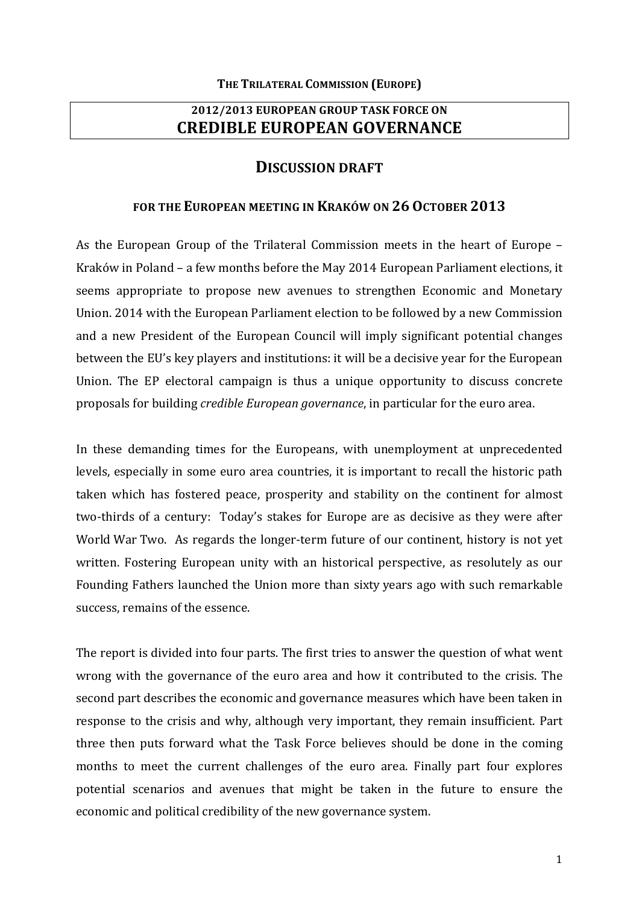# **2012/2013 EUROPEAN GROUP TASK FORCE ON CREDIBLE EUROPEAN GOVERNANCE**

## **DISCUSSION DRAFT**

## **FOR THE EUROPEAN MEETING IN KRAKÓW ON 26 OCTOBER 2013**

As the European Group of the Trilateral Commission meets in the heart of Europe -Kraków in Poland – a few months before the May 2014 European Parliament elections, it seems appropriate to propose new avenues to strengthen Economic and Monetary Union. 2014 with the European Parliament election to be followed by a new Commission and a new President of the European Council will imply significant potential changes between the EU's key players and institutions: it will be a decisive year for the European Union. The EP electoral campaign is thus a unique opportunity to discuss concrete proposals for building *credible European governance*, in particular for the euro area.

In these demanding times for the Europeans, with unemployment at unprecedented levels, especially in some euro area countries, it is important to recall the historic path taken which has fostered peace, prosperity and stability on the continent for almost two-thirds of a century: Today's stakes for Europe are as decisive as they were after World War Two. As regards the longer-term future of our continent, history is not yet written. Fostering European unity with an historical perspective, as resolutely as our Founding Fathers launched the Union more than sixty years ago with such remarkable success, remains of the essence.

The report is divided into four parts. The first tries to answer the question of what went wrong with the governance of the euro area and how it contributed to the crisis. The second part describes the economic and governance measures which have been taken in response to the crisis and why, although very important, they remain insufficient. Part three then puts forward what the Task Force believes should be done in the coming months to meet the current challenges of the euro area. Finally part four explores potential scenarios and avenues that might be taken in the future to ensure the economic and political credibility of the new governance system.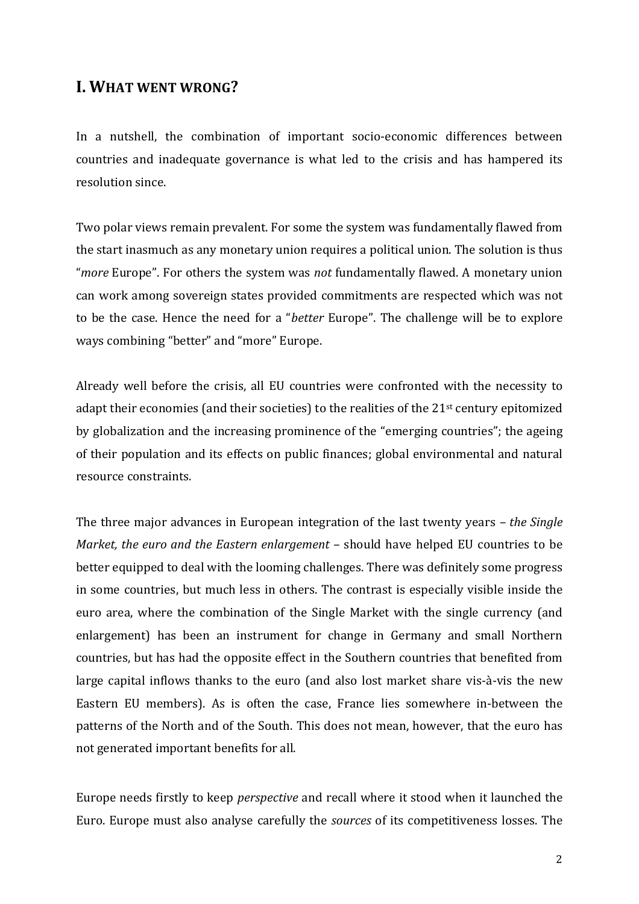# **I. WHAT WENT WRONG?**

In a nutshell, the combination of important socio-economic differences between countries and inadequate governance is what led to the crisis and has hampered its resolution since.

Two polar views remain prevalent. For some the system was fundamentally flawed from the start inasmuch as any monetary union requires a political union. The solution is thus "more Europe". For others the system was not fundamentally flawed. A monetary union can work among sovereign states provided commitments are respected which was not to be the case. Hence the need for a "*better* Europe". The challenge will be to explore ways combining "better" and "more" Europe.

Already well before the crisis, all EU countries were confronted with the necessity to adapt their economies (and their societies) to the realities of the  $21<sup>st</sup>$  century epitomized by globalization and the increasing prominence of the "emerging countries"; the ageing of their population and its effects on public finances; global environmental and natural resource constraints.

The three major advances in European integration of the last twenty years *– the Single Market, the euro and the Eastern enlargement* – should have helped EU countries to be better equipped to deal with the looming challenges. There was definitely some progress in some countries, but much less in others. The contrast is especially visible inside the euro area, where the combination of the Single Market with the single currency (and enlargement) has been an instrument for change in Germany and small Northern countries, but has had the opposite effect in the Southern countries that benefited from large capital inflows thanks to the euro (and also lost market share vis-à-vis the new Eastern EU members). As is often the case, France lies somewhere in-between the patterns of the North and of the South. This does not mean, however, that the euro has not generated important benefits for all.

Europe needs firstly to keep *perspective* and recall where it stood when it launched the Euro. Europe must also analyse carefully the *sources* of its competitiveness losses. The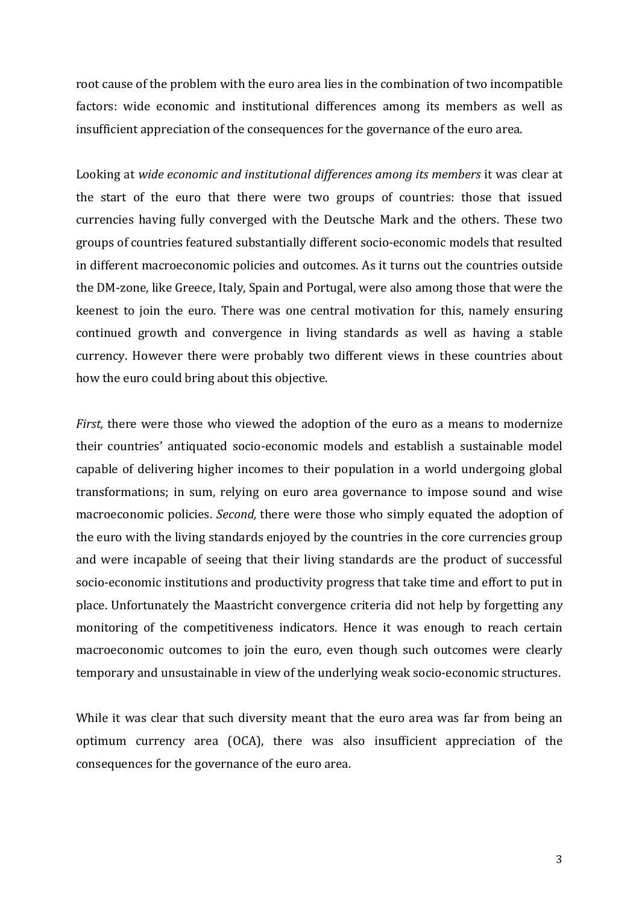root cause of the problem with the euro area lies in the combination of two incompatible factors: wide economic and institutional differences among its members as well as insufficient appreciation of the consequences for the governance of the euro area.

Looking at *wide economic and institutional differences among its members* it was clear at the start of the euro that there were two groups of countries: those that issued currencies having fully converged with the Deutsche Mark and the others. These two groups of countries featured substantially different socio-economic models that resulted in different macroeconomic policies and outcomes. As it turns out the countries outside the DM-zone, like Greece, Italy, Spain and Portugal, were also among those that were the keenest to join the euro. There was one central motivation for this, namely ensuring continued growth and convergence in living standards as well as having a stable currency. However there were probably two different views in these countries about how the euro could bring about this objective.

*First*, there were those who viewed the adoption of the euro as a means to modernize their countries' antiquated socio-economic models and establish a sustainable model capable of delivering higher incomes to their population in a world undergoing global transformations; in sum, relying on euro area governance to impose sound and wise macroeconomic policies. *Second*, there were those who simply equated the adoption of the euro with the living standards enjoyed by the countries in the core currencies group and were incapable of seeing that their living standards are the product of successful socio-economic institutions and productivity progress that take time and effort to put in place. Unfortunately the Maastricht convergence criteria did not help by forgetting any monitoring of the competitiveness indicators. Hence it was enough to reach certain macroeconomic outcomes to join the euro, even though such outcomes were clearly temporary and unsustainable in view of the underlying weak socio-economic structures.

While it was clear that such diversity meant that the euro area was far from being an optimum currency area (OCA), there was also insufficient appreciation of the consequences for the governance of the euro area.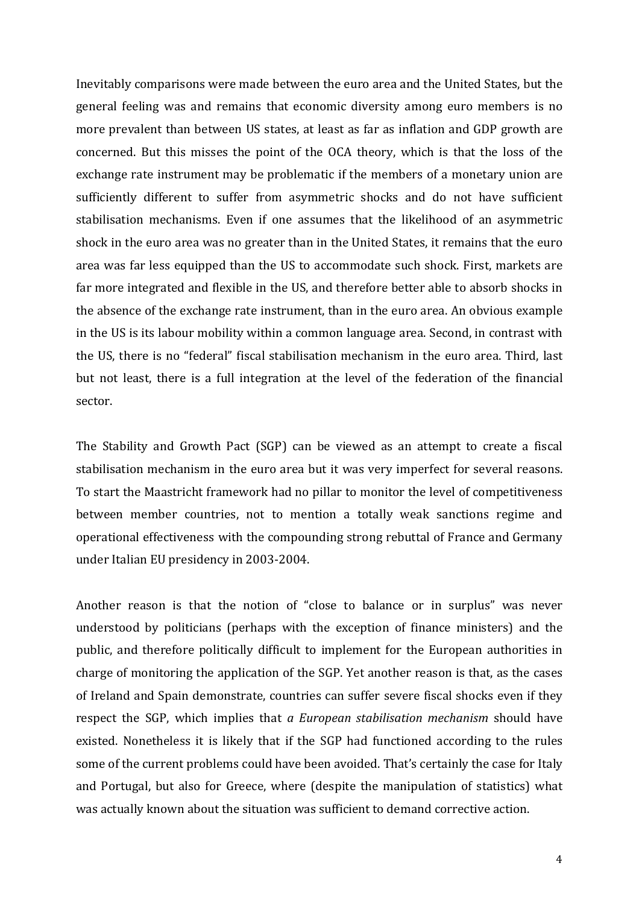Inevitably comparisons were made between the euro area and the United States, but the general feeling was and remains that economic diversity among euro members is no more prevalent than between US states, at least as far as inflation and GDP growth are concerned. But this misses the point of the OCA theory, which is that the loss of the exchange rate instrument may be problematic if the members of a monetary union are sufficiently different to suffer from asymmetric shocks and do not have sufficient stabilisation mechanisms. Even if one assumes that the likelihood of an asymmetric shock in the euro area was no greater than in the United States, it remains that the euro area was far less equipped than the US to accommodate such shock. First, markets are far more integrated and flexible in the US, and therefore better able to absorb shocks in the absence of the exchange rate instrument, than in the euro area. An obvious example in the US is its labour mobility within a common language area. Second, in contrast with the US, there is no "federal" fiscal stabilisation mechanism in the euro area. Third. last but not least, there is a full integration at the level of the federation of the financial sector.

The Stability and Growth Pact (SGP) can be viewed as an attempt to create a fiscal stabilisation mechanism in the euro area but it was very imperfect for several reasons. To start the Maastricht framework had no pillar to monitor the level of competitiveness between member countries, not to mention a totally weak sanctions regime and operational effectiveness with the compounding strong rebuttal of France and Germany under Italian EU presidency in 2003-2004.

Another reason is that the notion of "close to balance or in surplus" was never understood by politicians (perhaps with the exception of finance ministers) and the public, and therefore politically difficult to implement for the European authorities in charge of monitoring the application of the SGP. Yet another reason is that, as the cases of Ireland and Spain demonstrate, countries can suffer severe fiscal shocks even if they respect the SGP, which implies that *a European stabilisation mechanism* should have existed. Nonetheless it is likely that if the SGP had functioned according to the rules some of the current problems could have been avoided. That's certainly the case for Italy and Portugal, but also for Greece, where (despite the manipulation of statistics) what was actually known about the situation was sufficient to demand corrective action.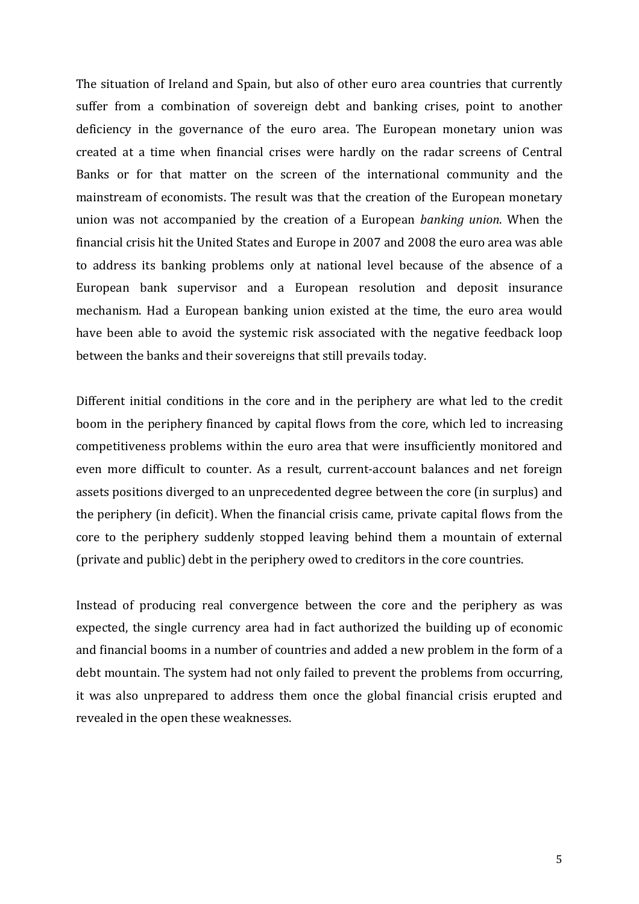The situation of Ireland and Spain, but also of other euro area countries that currently suffer from a combination of sovereign debt and banking crises, point to another deficiency in the governance of the euro area. The European monetary union was created at a time when financial crises were hardly on the radar screens of Central Banks or for that matter on the screen of the international community and the mainstream of economists. The result was that the creation of the European monetary union was not accompanied by the creation of a European *banking union*. When the financial crisis hit the United States and Europe in 2007 and 2008 the euro area was able to address its banking problems only at national level because of the absence of a European bank supervisor and a European resolution and deposit insurance mechanism. Had a European banking union existed at the time, the euro area would have been able to avoid the systemic risk associated with the negative feedback loop between the banks and their sovereigns that still prevails today.

Different initial conditions in the core and in the periphery are what led to the credit boom in the periphery financed by capital flows from the core, which led to increasing competitiveness problems within the euro area that were insufficiently monitored and even more difficult to counter. As a result, current-account balances and net foreign assets positions diverged to an unprecedented degree between the core (in surplus) and the periphery (in deficit). When the financial crisis came, private capital flows from the core to the periphery suddenly stopped leaving behind them a mountain of external (private and public) debt in the periphery owed to creditors in the core countries.

Instead of producing real convergence between the core and the periphery as was expected, the single currency area had in fact authorized the building up of economic and financial booms in a number of countries and added a new problem in the form of a debt mountain. The system had not only failed to prevent the problems from occurring, it was also unprepared to address them once the global financial crisis erupted and revealed in the open these weaknesses.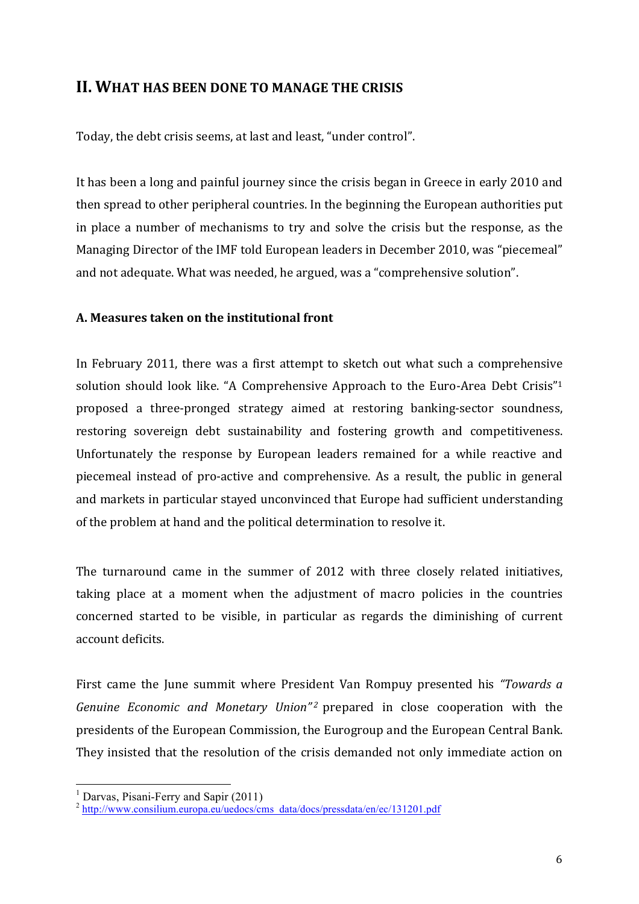# **II. WHAT HAS BEEN DONE TO MANAGE THE CRISIS**

Today, the debt crisis seems, at last and least, "under control".

It has been a long and painful journey since the crisis began in Greece in early 2010 and then spread to other peripheral countries. In the beginning the European authorities put in place a number of mechanisms to try and solve the crisis but the response, as the Managing Director of the IMF told European leaders in December 2010, was "piecemeal" and not adequate. What was needed, he argued, was a "comprehensive solution".

# **A. Measures taken on the institutional front**

In February 2011, there was a first attempt to sketch out what such a comprehensive solution should look like. "A Comprehensive Approach to the Euro-Area Debt Crisis"<sup>1</sup> proposed a three-pronged strategy aimed at restoring banking-sector soundness, restoring sovereign debt sustainability and fostering growth and competitiveness. Unfortunately the response by European leaders remained for a while reactive and piecemeal instead of pro-active and comprehensive. As a result, the public in general and markets in particular stayed unconvinced that Europe had sufficient understanding of the problem at hand and the political determination to resolve it.

The turnaround came in the summer of 2012 with three closely related initiatives, taking place at a moment when the adjustment of macro policies in the countries concerned started to be visible, in particular as regards the diminishing of current account deficits.

First came the June summit where President Van Rompuy presented his *"Towards a Genuine Economic and Monetary Union*<sup>"2</sup> prepared in close cooperation with the presidents of the European Commission, the Eurogroup and the European Central Bank. They insisted that the resolution of the crisis demanded not only immediate action on

 

<sup>&</sup>lt;sup>1</sup> Darvas, Pisani-Ferry and Sapir (2011)<br><sup>2</sup> http://www.consilium.europa.eu/uedocs/cms\_data/docs/pressdata/en/ec/131201.pdf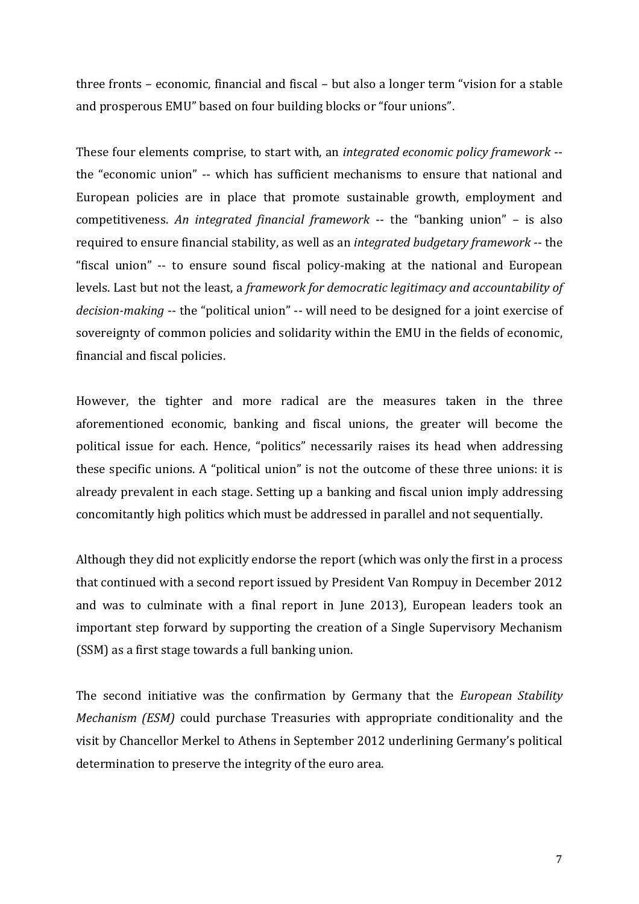three fronts – economic, financial and fiscal – but also a longer term "vision for a stable and prosperous EMU" based on four building blocks or "four unions".

These four elements comprise, to start with, an *integrated economic policy framework* -the "economic union" -- which has sufficient mechanisms to ensure that national and European policies are in place that promote sustainable growth, employment and competitiveness. An *integrated financial framework* -- the "banking union" – is also required to ensure financial stability, as well as an *integrated budgetary framework* -- the "fiscal union" -- to ensure sound fiscal policy-making at the national and European levels. Last but not the least, a *framework for democratic legitimacy and accountability of decision-making* -- the "political union" -- will need to be designed for a joint exercise of sovereignty of common policies and solidarity within the EMU in the fields of economic, financial and fiscal policies.

However, the tighter and more radical are the measures taken in the three aforementioned economic, banking and fiscal unions, the greater will become the political issue for each. Hence, "politics" necessarily raises its head when addressing these specific unions. A "political union" is not the outcome of these three unions: it is already prevalent in each stage. Setting up a banking and fiscal union imply addressing concomitantly high politics which must be addressed in parallel and not sequentially.

Although they did not explicitly endorse the report (which was only the first in a process that continued with a second report issued by President Van Rompuy in December 2012 and was to culminate with a final report in June 2013), European leaders took an important step forward by supporting the creation of a Single Supervisory Mechanism (SSM) as a first stage towards a full banking union.

The second initiative was the confirmation by Germany that the *European Stability Mechanism* (*ESM*) could purchase Treasuries with appropriate conditionality and the visit by Chancellor Merkel to Athens in September 2012 underlining Germany's political determination to preserve the integrity of the euro area.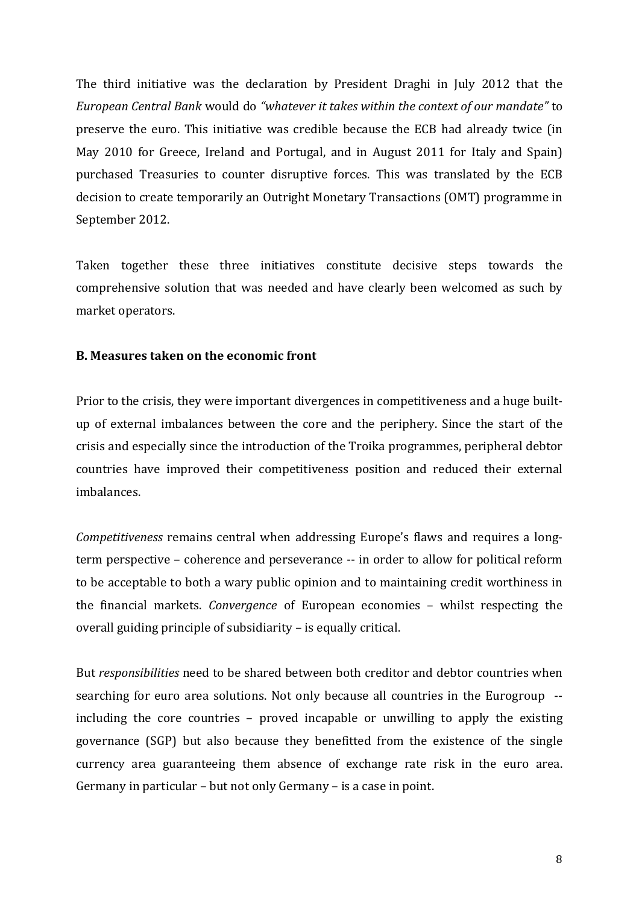The third initiative was the declaration by President Draghi in July 2012 that the *European Central Bank* would do *"whatever it takes within the context of our mandate"* to preserve the euro. This initiative was credible because the ECB had already twice (in May 2010 for Greece, Ireland and Portugal, and in August 2011 for Italy and Spain) purchased Treasuries to counter disruptive forces. This was translated by the ECB decision to create temporarily an Outright Monetary Transactions (OMT) programme in September 2012.

Taken together these three initiatives constitute decisive steps towards the comprehensive solution that was needed and have clearly been welcomed as such by market operators.

#### **B.** Measures taken on the economic front

Prior to the crisis, they were important divergences in competitiveness and a huge builtup of external imbalances between the core and the periphery. Since the start of the crisis and especially since the introduction of the Troika programmes, peripheral debtor countries have improved their competitiveness position and reduced their external imbalances.

*Competitiveness* remains central when addressing Europe's flaws and requires a longterm perspective – coherence and perseverance -- in order to allow for political reform to be acceptable to both a wary public opinion and to maintaining credit worthiness in the financial markets. *Convergence* of European economies – whilst respecting the overall guiding principle of subsidiarity  $-$  is equally critical.

But *responsibilities* need to be shared between both creditor and debtor countries when searching for euro area solutions. Not only because all countries in the Eurogroup -including the core countries  $-$  proved incapable or unwilling to apply the existing governance  $(SGP)$  but also because they benefitted from the existence of the single currency area guaranteeing them absence of exchange rate risk in the euro area. Germany in particular  $-$  but not only Germany  $-$  is a case in point.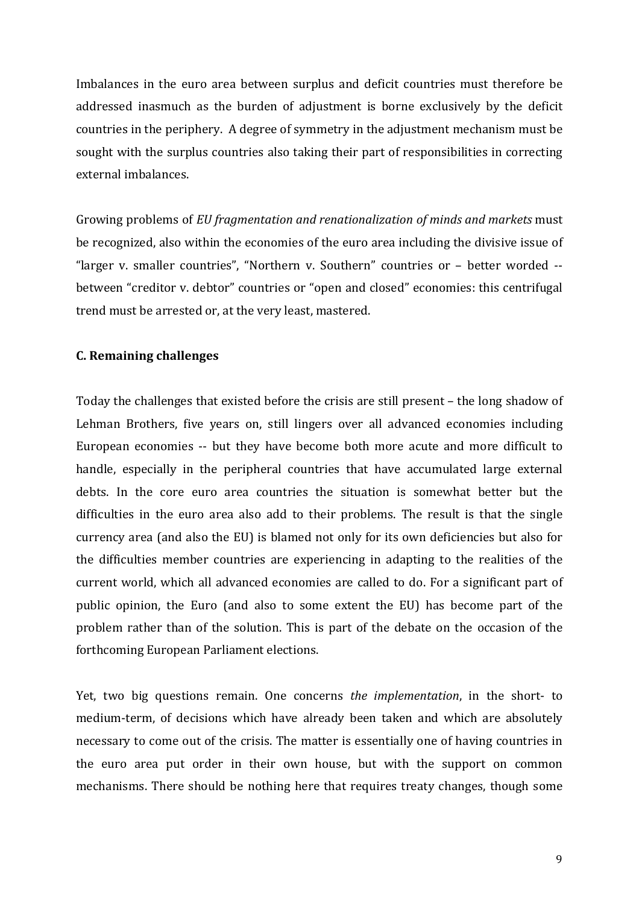Imbalances in the euro area between surplus and deficit countries must therefore be addressed inasmuch as the burden of adjustment is borne exclusively by the deficit countries in the periphery. A degree of symmetry in the adjustment mechanism must be sought with the surplus countries also taking their part of responsibilities in correcting external imbalances.

Growing problems of *EU* fragmentation and renationalization of minds and markets must be recognized, also within the economies of the euro area including the divisive issue of "larger v. smaller countries", "Northern v. Southern" countries or - better worded -between "creditor y. debtor" countries or "open and closed" economies: this centrifugal trend must be arrested or, at the very least, mastered.

## **C. Remaining challenges**

Today the challenges that existed before the crisis are still present - the long shadow of Lehman Brothers, five years on, still lingers over all advanced economies including European economies -- but they have become both more acute and more difficult to handle, especially in the peripheral countries that have accumulated large external debts. In the core euro area countries the situation is somewhat better but the difficulties in the euro area also add to their problems. The result is that the single currency area (and also the EU) is blamed not only for its own deficiencies but also for the difficulties member countries are experiencing in adapting to the realities of the current world, which all advanced economies are called to do. For a significant part of public opinion, the Euro (and also to some extent the EU) has become part of the problem rather than of the solution. This is part of the debate on the occasion of the forthcoming European Parliament elections.

Yet, two big questions remain. One concerns *the implementation*, in the short- to medium-term, of decisions which have already been taken and which are absolutely necessary to come out of the crisis. The matter is essentially one of having countries in the euro area put order in their own house, but with the support on common mechanisms. There should be nothing here that requires treaty changes, though some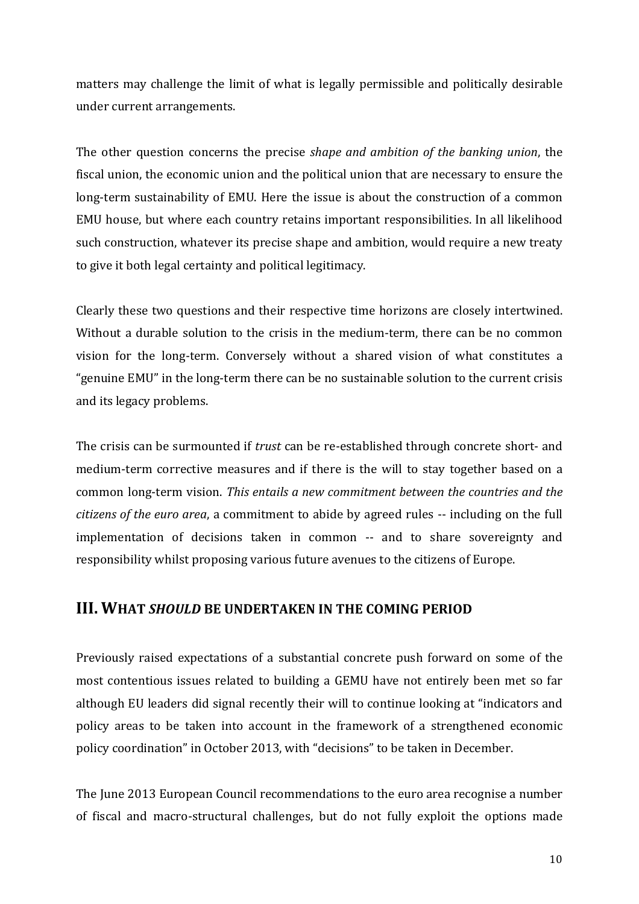matters may challenge the limit of what is legally permissible and politically desirable under current arrangements.

The other question concerns the precise *shape and ambition of the banking union*, the fiscal union, the economic union and the political union that are necessary to ensure the long-term sustainability of EMU. Here the issue is about the construction of a common EMU house, but where each country retains important responsibilities. In all likelihood such construction, whatever its precise shape and ambition, would require a new treaty to give it both legal certainty and political legitimacy.

Clearly these two questions and their respective time horizons are closely intertwined. Without a durable solution to the crisis in the medium-term, there can be no common vision for the long-term. Conversely without a shared vision of what constitutes a "genuine EMU" in the long-term there can be no sustainable solution to the current crisis and its legacy problems.

The crisis can be surmounted if *trust* can be re-established through concrete short- and medium-term corrective measures and if there is the will to stay together based on a common long-term vision. *This entails a new commitment between the countries and the citizens of the euro area*, a commitment to abide by agreed rules -- including on the full implementation of decisions taken in common -- and to share sovereignty and responsibility whilst proposing various future avenues to the citizens of Europe.

# **III. WHAT SHOULD BE UNDERTAKEN IN THE COMING PERIOD**

Previously raised expectations of a substantial concrete push forward on some of the most contentious issues related to building a GEMU have not entirely been met so far although EU leaders did signal recently their will to continue looking at "indicators and policy areas to be taken into account in the framework of a strengthened economic policy coordination" in October 2013, with "decisions" to be taken in December.

The Iune 2013 European Council recommendations to the euro area recognise a number of fiscal and macro-structural challenges, but do not fully exploit the options made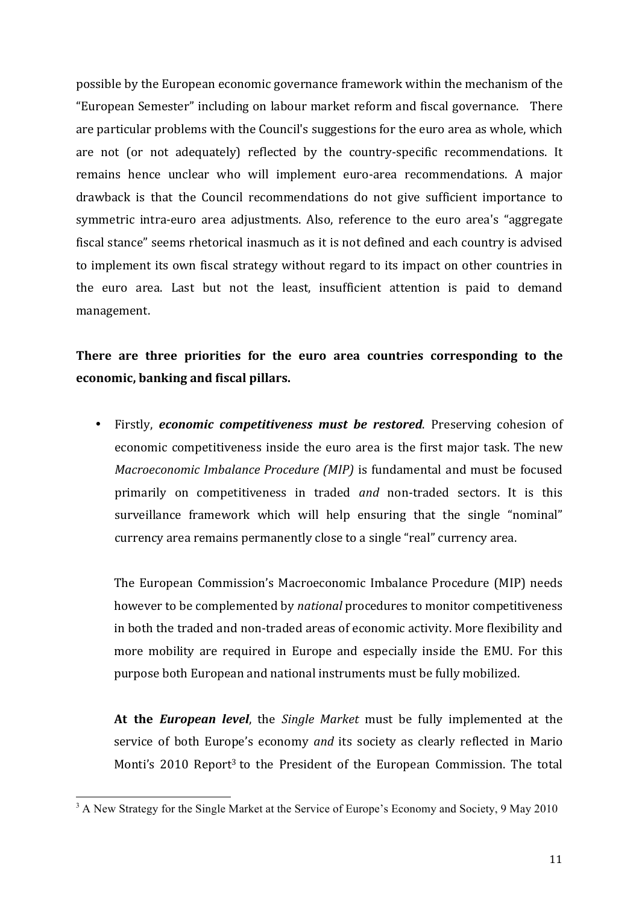possible by the European economic governance framework within the mechanism of the "European Semester" including on labour market reform and fiscal governance. There are particular problems with the Council's suggestions for the euro area as whole, which are not (or not adequately) reflected by the country-specific recommendations. It remains hence unclear who will implement euro-area recommendations. A major drawback is that the Council recommendations do not give sufficient importance to symmetric intra-euro area adjustments. Also, reference to the euro area's "aggregate fiscal stance" seems rhetorical inasmuch as it is not defined and each country is advised to implement its own fiscal strategy without regard to its impact on other countries in the euro area. Last but not the least, insufficient attention is paid to demand management. 

# There are three priorities for the euro area countries corresponding to the **economic, banking and fiscal pillars.**

• Firstly, *economic competitiveness must be restored*. Preserving cohesion of economic competitiveness inside the euro area is the first major task. The new *Macroeconomic Imbalance Procedure (MIP)* is fundamental and must be focused primarily on competitiveness in traded *and* non-traded sectors. It is this surveillance framework which will help ensuring that the single "nominal" currency area remains permanently close to a single "real" currency area.

The European Commission's Macroeconomic Imbalance Procedure (MIP) needs however to be complemented by *national* procedures to monitor competitiveness in both the traded and non-traded areas of economic activity. More flexibility and more mobility are required in Europe and especially inside the EMU. For this purpose both European and national instruments must be fully mobilized.

At the *European level*, the *Single Market* must be fully implemented at the service of both Europe's economy *and* its society as clearly reflected in Mario Monti's  $2010$  Report<sup>3</sup> to the President of the European Commission. The total

<u> 1989 - Johann Stein, marwolaethau a bh</u>

<sup>&</sup>lt;sup>3</sup> A New Strategy for the Single Market at the Service of Europe's Economy and Society, 9 May 2010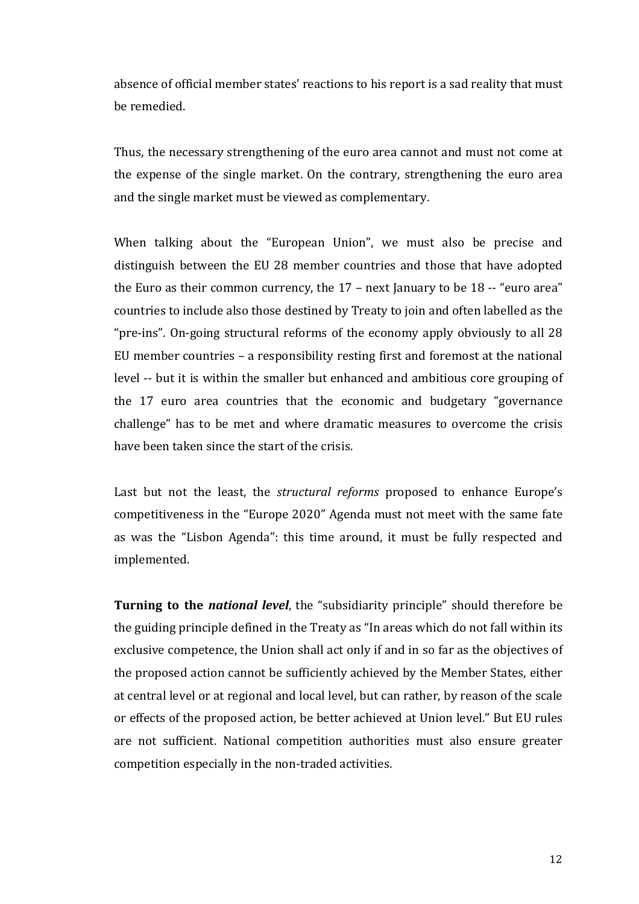absence of official member states' reactions to his report is a sad reality that must be remedied.

Thus, the necessary strengthening of the euro area cannot and must not come at the expense of the single market. On the contrary, strengthening the euro area and the single market must be viewed as complementary.

When talking about the "European Union", we must also be precise and distinguish between the EU 28 member countries and those that have adopted the Euro as their common currency, the  $17$  – next January to be  $18 -$  "euro area" countries to include also those destined by Treaty to join and often labelled as the " $pre-ins$ ". On-going structural reforms of the economy apply obviously to all 28 EU member countries  $-$  a responsibility resting first and foremost at the national level -- but it is within the smaller but enhanced and ambitious core grouping of the 17 euro area countries that the economic and budgetary "governance challenge" has to be met and where dramatic measures to overcome the crisis have been taken since the start of the crisis.

Last but not the least, the *structural reforms* proposed to enhance Europe's competitiveness in the "Europe 2020" Agenda must not meet with the same fate as was the "Lisbon Agenda": this time around, it must be fully respected and implemented. 

**Turning to the** *national level*, the "subsidiarity principle" should therefore be the guiding principle defined in the Treaty as "In areas which do not fall within its exclusive competence, the Union shall act only if and in so far as the objectives of the proposed action cannot be sufficiently achieved by the Member States, either at central level or at regional and local level, but can rather, by reason of the scale or effects of the proposed action, be better achieved at Union level." But EU rules are not sufficient. National competition authorities must also ensure greater competition especially in the non-traded activities.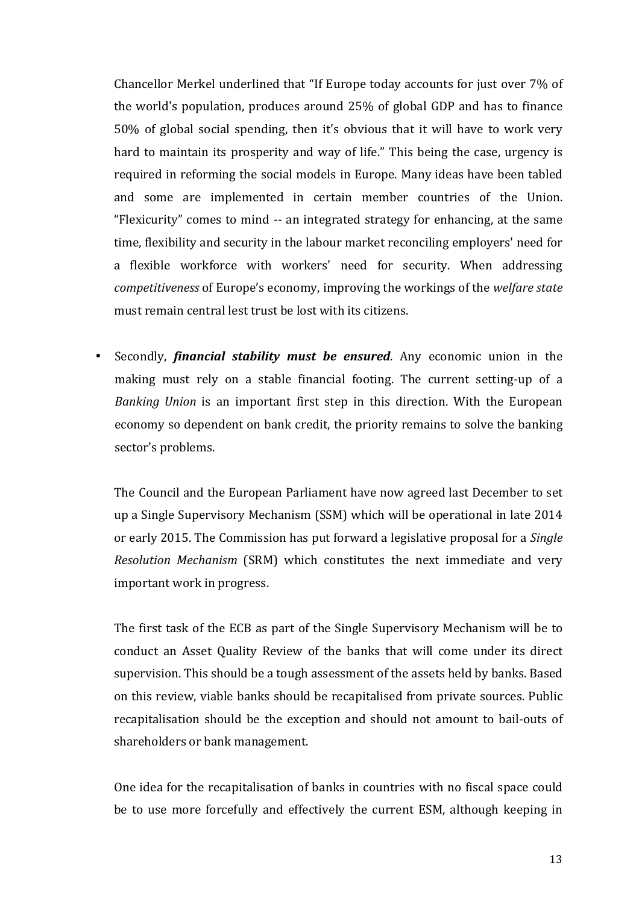Chancellor Merkel underlined that "If Europe today accounts for just over 7% of the world's population, produces around  $25%$  of global GDP and has to finance 50% of global social spending, then it's obvious that it will have to work very hard to maintain its prosperity and way of life." This being the case, urgency is required in reforming the social models in Europe. Many ideas have been tabled and some are implemented in certain member countries of the Union. "Flexicurity" comes to mind -- an integrated strategy for enhancing, at the same time, flexibility and security in the labour market reconciling employers' need for a flexible workforce with workers' need for security. When addressing *competitiveness* of Europe's economy, improving the workings of the *welfare state* must remain central lest trust be lost with its citizens.

• Secondly, *financial stability must be ensured*. Any economic union in the making must rely on a stable financial footing. The current setting-up of a *Banking Union* is an important first step in this direction. With the European economy so dependent on bank credit, the priority remains to solve the banking sector's problems.

The Council and the European Parliament have now agreed last December to set up a Single Supervisory Mechanism (SSM) which will be operational in late 2014 or early 2015. The Commission has put forward a legislative proposal for a *Single Resolution Mechanism* (SRM) which constitutes the next immediate and very important work in progress.

The first task of the ECB as part of the Single Supervisory Mechanism will be to conduct an Asset Quality Review of the banks that will come under its direct supervision. This should be a tough assessment of the assets held by banks. Based on this review, viable banks should be recapitalised from private sources. Public recapitalisation should be the exception and should not amount to bail-outs of shareholders or bank management.

One idea for the recapitalisation of banks in countries with no fiscal space could be to use more forcefully and effectively the current ESM, although keeping in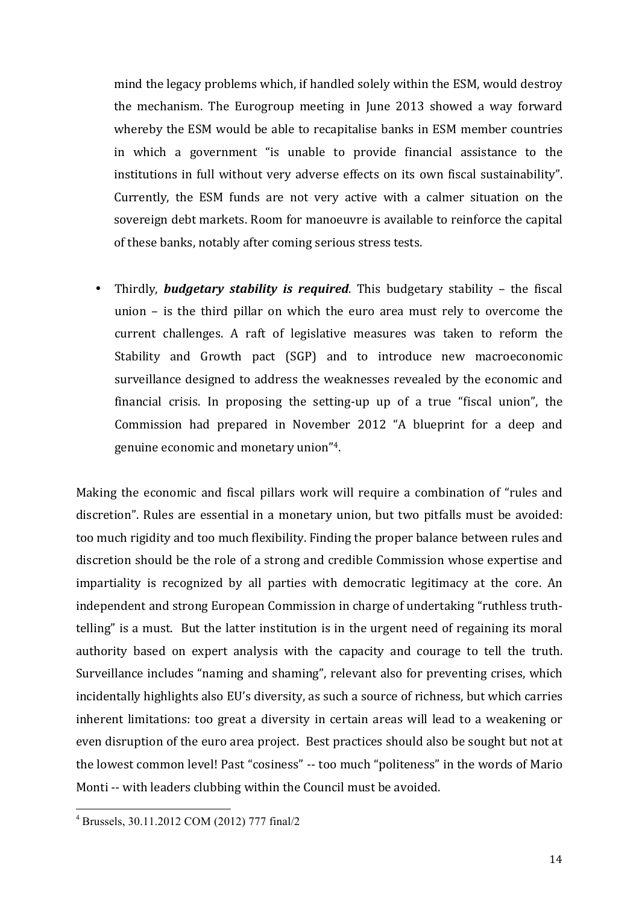mind the legacy problems which, if handled solely within the ESM, would destroy the mechanism. The Eurogroup meeting in June 2013 showed a way forward whereby the ESM would be able to recapitalise banks in ESM member countries in which a government "is unable to provide financial assistance to the institutions in full without very adverse effects on its own fiscal sustainability". Currently, the ESM funds are not very active with a calmer situation on the sovereign debt markets. Room for manoeuvre is available to reinforce the capital of these banks, notably after coming serious stress tests.

Thirdly, **budgetary stability is required**. This budgetary stability – the fiscal union  $-$  is the third pillar on which the euro area must rely to overcome the current challenges. A raft of legislative measures was taken to reform the Stability and Growth pact (SGP) and to introduce new macroeconomic surveillance designed to address the weaknesses revealed by the economic and financial crisis. In proposing the setting-up up of a true "fiscal union", the Commission had prepared in November 2012 "A blueprint for a deep and genuine economic and monetary union"<sup>4</sup>.

Making the economic and fiscal pillars work will require a combination of "rules and discretion". Rules are essential in a monetary union, but two pitfalls must be avoided: too much rigidity and too much flexibility. Finding the proper balance between rules and discretion should be the role of a strong and credible Commission whose expertise and impartiality is recognized by all parties with democratic legitimacy at the core. An independent and strong European Commission in charge of undertaking "ruthless truthtelling" is a must. But the latter institution is in the urgent need of regaining its moral authority based on expert analysis with the capacity and courage to tell the truth. Surveillance includes "naming and shaming", relevant also for preventing crises, which incidentally highlights also EU's diversity, as such a source of richness, but which carries inherent limitations: too great a diversity in certain areas will lead to a weakening or even disruption of the euro area project. Best practices should also be sought but not at the lowest common level! Past "cosiness" -- too much "politeness" in the words of Mario Monti -- with leaders clubbing within the Council must be avoided.

<u> 1989 - Johann Stein, marwolaethau a bh</u>

<sup>4</sup> Brussels, 30.11.2012 COM (2012) 777 final/2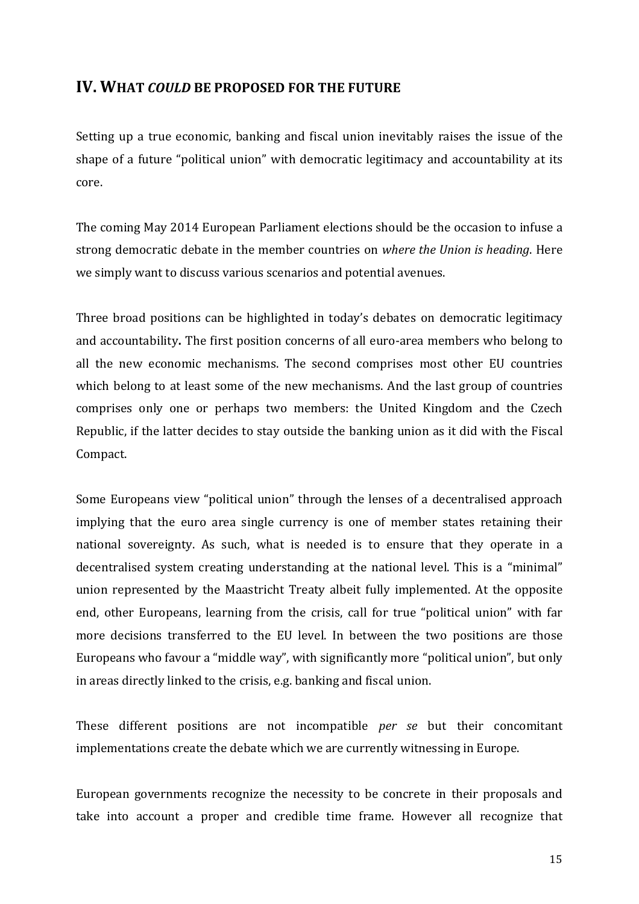# **IV. WHAT COULD BE PROPOSED FOR THE FUTURE**

Setting up a true economic, banking and fiscal union inevitably raises the issue of the shape of a future "political union" with democratic legitimacy and accountability at its core.

The coming May 2014 European Parliament elections should be the occasion to infuse a strong democratic debate in the member countries on *where the Union is heading*. Here we simply want to discuss various scenarios and potential avenues.

Three broad positions can be highlighted in today's debates on democratic legitimacy and accountability. The first position concerns of all euro-area members who belong to all the new economic mechanisms. The second comprises most other EU countries which belong to at least some of the new mechanisms. And the last group of countries comprises only one or perhaps two members: the United Kingdom and the Czech Republic, if the latter decides to stay outside the banking union as it did with the Fiscal Compact.

Some Europeans view "political union" through the lenses of a decentralised approach implying that the euro area single currency is one of member states retaining their national sovereignty. As such, what is needed is to ensure that they operate in a decentralised system creating understanding at the national level. This is a "minimal" union represented by the Maastricht Treaty albeit fully implemented. At the opposite end, other Europeans, learning from the crisis, call for true "political union" with far more decisions transferred to the EU level. In between the two positions are those Europeans who favour a "middle way", with significantly more "political union", but only in areas directly linked to the crisis, e.g. banking and fiscal union.

These different positions are not incompatible *per* se but their concomitant implementations create the debate which we are currently witnessing in Europe.

European governments recognize the necessity to be concrete in their proposals and take into account a proper and credible time frame. However all recognize that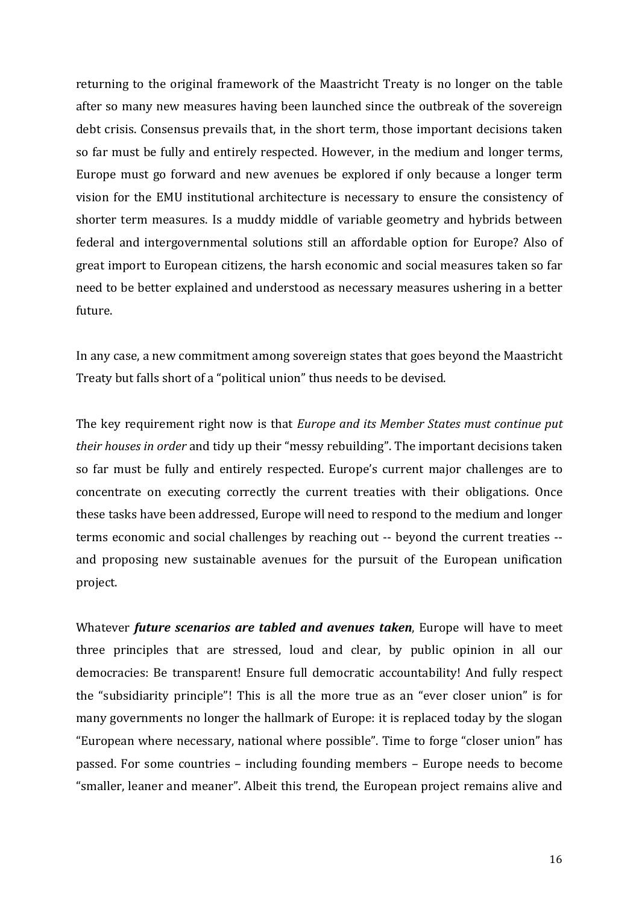returning to the original framework of the Maastricht Treaty is no longer on the table after so many new measures having been launched since the outbreak of the sovereign debt crisis. Consensus prevails that, in the short term, those important decisions taken so far must be fully and entirely respected. However, in the medium and longer terms, Europe must go forward and new avenues be explored if only because a longer term vision for the EMU institutional architecture is necessary to ensure the consistency of shorter term measures. Is a muddy middle of variable geometry and hybrids between federal and intergovernmental solutions still an affordable option for Europe? Also of great import to European citizens, the harsh economic and social measures taken so far need to be better explained and understood as necessary measures ushering in a better future.

In any case, a new commitment among sovereign states that goes beyond the Maastricht Treaty but falls short of a "political union" thus needs to be devised.

The key requirement right now is that *Europe and its Member States must continue put their houses in order* and tidy up their "messy rebuilding". The important decisions taken so far must be fully and entirely respected. Europe's current major challenges are to concentrate on executing correctly the current treaties with their obligations. Once these tasks have been addressed, Europe will need to respond to the medium and longer terms economic and social challenges by reaching out -- beyond the current treaties -and proposing new sustainable avenues for the pursuit of the European unification project. 

Whatever *future scenarios are tabled and avenues taken*, Europe will have to meet three principles that are stressed, loud and clear, by public opinion in all our democracies: Be transparent! Ensure full democratic accountability! And fully respect the "subsidiarity principle"! This is all the more true as an "ever closer union" is for many governments no longer the hallmark of Europe: it is replaced today by the slogan "European where necessary, national where possible". Time to forge "closer union" has passed. For some countries – including founding members – Europe needs to become "smaller, leaner and meaner". Albeit this trend, the European project remains alive and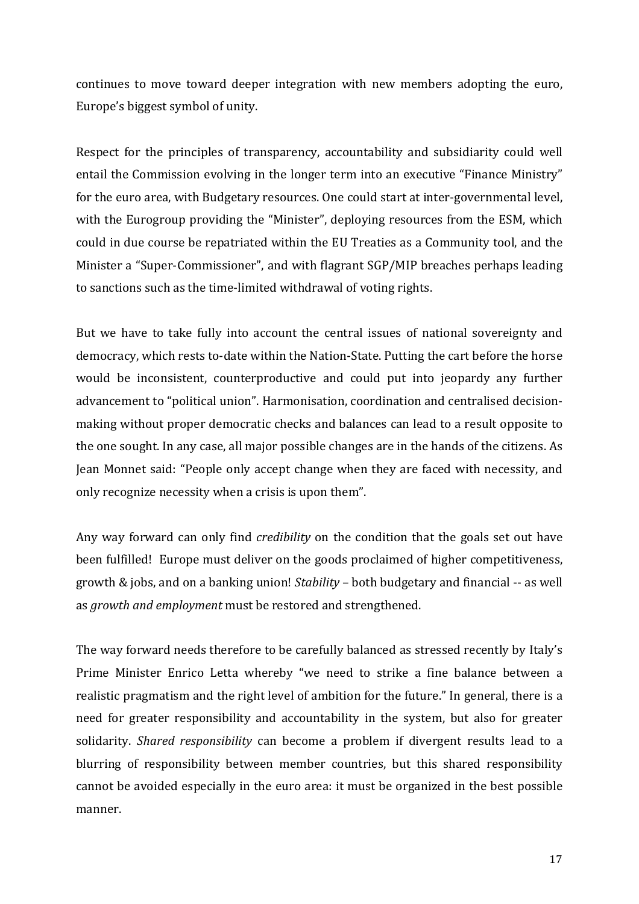continues to move toward deeper integration with new members adopting the euro, Europe's biggest symbol of unity.

Respect for the principles of transparency, accountability and subsidiarity could well entail the Commission evolving in the longer term into an executive "Finance Ministry" for the euro area, with Budgetary resources. One could start at inter-governmental level, with the Eurogroup providing the "Minister", deploying resources from the ESM, which could in due course be repatriated within the EU Treaties as a Community tool, and the Minister a "Super-Commissioner", and with flagrant SGP/MIP breaches perhaps leading to sanctions such as the time-limited withdrawal of voting rights.

But we have to take fully into account the central issues of national sovereignty and democracy, which rests to-date within the Nation-State. Putting the cart before the horse would be inconsistent, counterproductive and could put into jeopardy any further advancement to "political union". Harmonisation, coordination and centralised decisionmaking without proper democratic checks and balances can lead to a result opposite to the one sought. In any case, all major possible changes are in the hands of the citizens. As Jean Monnet said: "People only accept change when they are faced with necessity, and only recognize necessity when a crisis is upon them".

Any way forward can only find *credibility* on the condition that the goals set out have been fulfilled! Europe must deliver on the goods proclaimed of higher competitiveness, growth & jobs, and on a banking union! *Stability* – both budgetary and financial -- as well as *growth and employment* must be restored and strengthened.

The way forward needs therefore to be carefully balanced as stressed recently by Italy's Prime Minister Enrico Letta whereby "we need to strike a fine balance between a realistic pragmatism and the right level of ambition for the future." In general, there is a need for greater responsibility and accountability in the system, but also for greater solidarity. *Shared responsibility* can become a problem if divergent results lead to a blurring of responsibility between member countries, but this shared responsibility cannot be avoided especially in the euro area: it must be organized in the best possible manner.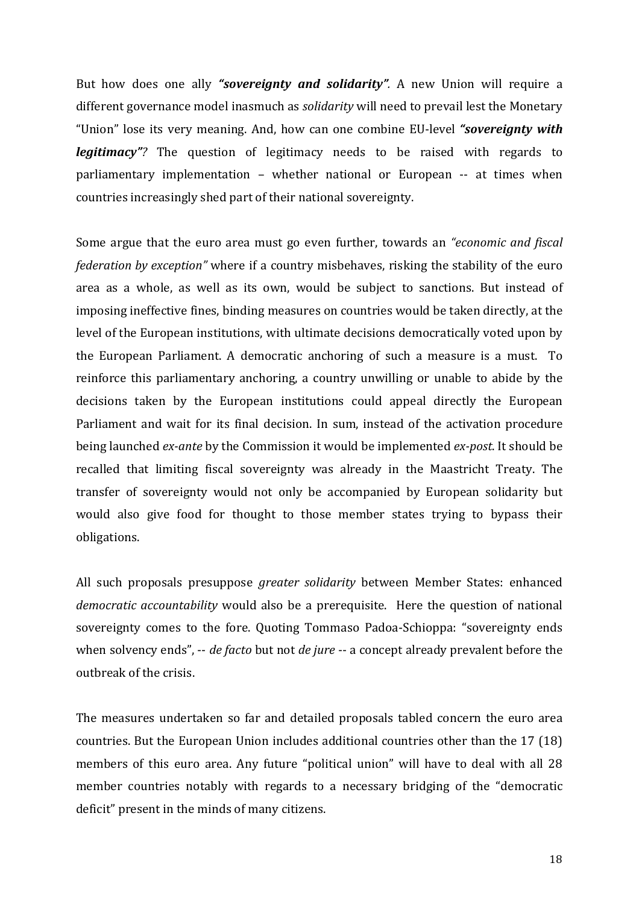But how does one ally "sovereignty and solidarity". A new Union will require a different governance model inasmuch as *solidarity* will need to prevail lest the Monetary "Union" lose its very meaning. And, how can one combine EU-level "**sovereignty with** *legitimacy*"? The question of legitimacy needs to be raised with regards to parliamentary implementation - whether national or European -- at times when countries increasingly shed part of their national sovereignty.

Some argue that the euro area must go even further, towards an *"economic and fiscal federation by exception*" where if a country misbehaves, risking the stability of the euro area as a whole, as well as its own, would be subject to sanctions. But instead of imposing ineffective fines, binding measures on countries would be taken directly, at the level of the European institutions, with ultimate decisions democratically voted upon by the European Parliament. A democratic anchoring of such a measure is a must. To reinforce this parliamentary anchoring, a country unwilling or unable to abide by the decisions taken by the European institutions could appeal directly the European Parliament and wait for its final decision. In sum, instead of the activation procedure being launched *ex-ante* by the Commission it would be implemented *ex-post*. It should be recalled that limiting fiscal sovereignty was already in the Maastricht Treaty. The transfer of sovereignty would not only be accompanied by European solidarity but would also give food for thought to those member states trying to bypass their obligations.

All such proposals presuppose *greater solidarity* between Member States: enhanced *democratic accountability* would also be a prerequisite. Here the question of national sovereignty comes to the fore. Quoting Tommaso Padoa-Schioppa: "sovereignty ends when solvency ends", -- *de facto* but not *de jure* -- a concept already prevalent before the outbreak of the crisis.

The measures undertaken so far and detailed proposals tabled concern the euro area countries. But the European Union includes additional countries other than the 17 (18) members of this euro area. Any future "political union" will have to deal with all 28 member countries notably with regards to a necessary bridging of the "democratic deficit" present in the minds of many citizens.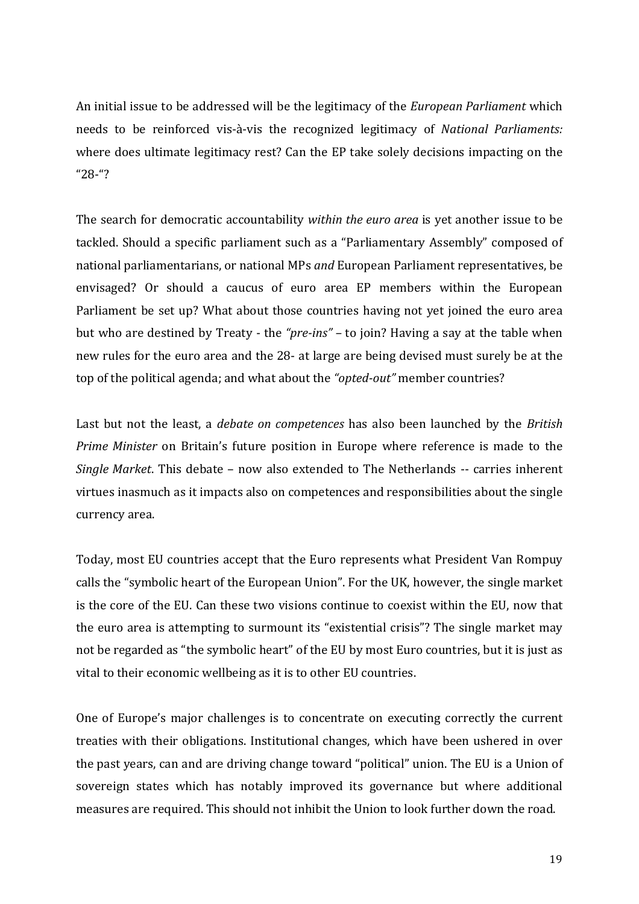An initial issue to be addressed will be the legitimacy of the *European Parliament* which needs to be reinforced vis-à-vis the recognized legitimacy of *National Parliaments:* where does ultimate legitimacy rest? Can the EP take solely decisions impacting on the "28-"? 

The search for democratic accountability *within the euro area* is yet another issue to be tackled. Should a specific parliament such as a "Parliamentary Assembly" composed of national parliamentarians, or national MPs *and* European Parliament representatives, be envisaged? Or should a caucus of euro area EP members within the European Parliament be set up? What about those countries having not yet joined the euro area but who are destined by Treaty - the "*pre-ins*" – to join? Having a say at the table when new rules for the euro area and the 28- at large are being devised must surely be at the top of the political agenda; and what about the "opted-out" member countries?

Last but not the least, a *debate on competences* has also been launched by the *British Prime Minister* on Britain's future position in Europe where reference is made to the *Single Market*. This debate – now also extended to The Netherlands -- carries inherent virtues inasmuch as it impacts also on competences and responsibilities about the single currency area.

Today, most EU countries accept that the Euro represents what President Van Rompuy calls the "symbolic heart of the European Union". For the UK, however, the single market is the core of the EU. Can these two visions continue to coexist within the EU, now that the euro area is attempting to surmount its "existential crisis"? The single market may not be regarded as "the symbolic heart" of the EU by most Euro countries, but it is just as vital to their economic wellbeing as it is to other EU countries.

One of Europe's major challenges is to concentrate on executing correctly the current treaties with their obligations. Institutional changes, which have been ushered in over the past years, can and are driving change toward "political" union. The EU is a Union of sovereign states which has notably improved its governance but where additional measures are required. This should not inhibit the Union to look further down the road.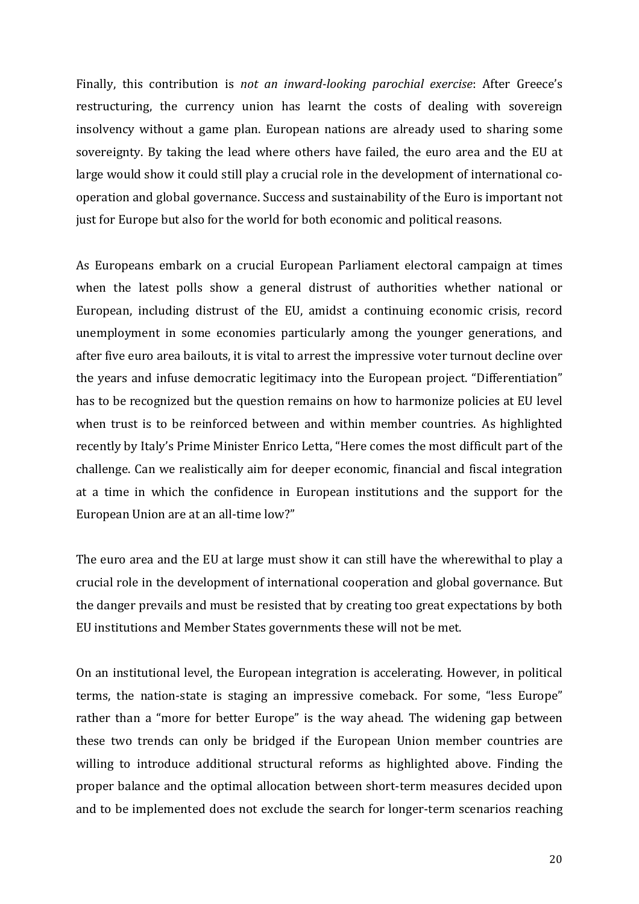Finally, this contribution is *not an inward-looking parochial exercise*: After Greece's restructuring, the currency union has learnt the costs of dealing with sovereign insolvency without a game plan. European nations are already used to sharing some sovereignty. By taking the lead where others have failed, the euro area and the EU at large would show it could still play a crucial role in the development of international cooperation and global governance. Success and sustainability of the Euro is important not just for Europe but also for the world for both economic and political reasons.

As Europeans embark on a crucial European Parliament electoral campaign at times when the latest polls show a general distrust of authorities whether national or European, including distrust of the EU, amidst a continuing economic crisis, record unemployment in some economies particularly among the younger generations, and after five euro area bailouts, it is vital to arrest the impressive voter turnout decline over the years and infuse democratic legitimacy into the European project. "Differentiation" has to be recognized but the question remains on how to harmonize policies at EU level when trust is to be reinforced between and within member countries. As highlighted recently by Italy's Prime Minister Enrico Letta, "Here comes the most difficult part of the challenge. Can we realistically aim for deeper economic, financial and fiscal integration at a time in which the confidence in European institutions and the support for the European Union are at an all-time low?"

The euro area and the EU at large must show it can still have the wherewithal to play a crucial role in the development of international cooperation and global governance. But the danger prevails and must be resisted that by creating too great expectations by both EU institutions and Member States governments these will not be met.

On an institutional level, the European integration is accelerating. However, in political terms, the nation-state is staging an impressive comeback. For some, "less Europe" rather than a "more for better Europe" is the way ahead. The widening gap between these two trends can only be bridged if the European Union member countries are willing to introduce additional structural reforms as highlighted above. Finding the proper balance and the optimal allocation between short-term measures decided upon and to be implemented does not exclude the search for longer-term scenarios reaching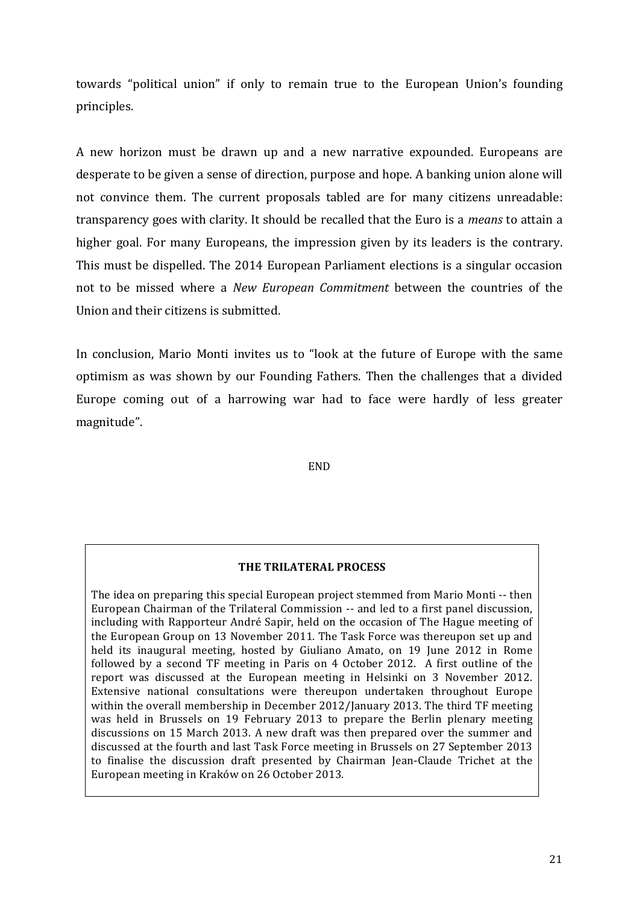towards "political union" if only to remain true to the European Union's founding principles. 

A new horizon must be drawn up and a new narrative expounded. Europeans are desperate to be given a sense of direction, purpose and hope. A banking union alone will not convince them. The current proposals tabled are for many citizens unreadable: transparency goes with clarity. It should be recalled that the Euro is a *means* to attain a higher goal. For many Europeans, the impression given by its leaders is the contrary. This must be dispelled. The 2014 European Parliament elections is a singular occasion not to be missed where a *New European Commitment* between the countries of the Union and their citizens is submitted.

In conclusion, Mario Monti invites us to "look at the future of Europe with the same optimism as was shown by our Founding Fathers. Then the challenges that a divided Europe coming out of a harrowing war had to face were hardly of less greater magnitude".

END

### **THE TRILATERAL PROCESS**

The idea on preparing this special European project stemmed from Mario Monti -- then European Chairman of the Trilateral Commission -- and led to a first panel discussion, including with Rapporteur André Sapir, held on the occasion of The Hague meeting of the European Group on 13 November 2011. The Task Force was thereupon set up and held its inaugural meeting, hosted by Giuliano Amato, on 19 June 2012 in Rome followed by a second TF meeting in Paris on 4 October 2012. A first outline of the report was discussed at the European meeting in Helsinki on 3 November 2012. Extensive national consultations were thereupon undertaken throughout Europe within the overall membership in December  $2012$ /January 2013. The third TF meeting was held in Brussels on 19 February 2013 to prepare the Berlin plenary meeting discussions on 15 March 2013. A new draft was then prepared over the summer and discussed at the fourth and last Task Force meeting in Brussels on 27 September 2013 to finalise the discussion draft presented by Chairman Jean-Claude Trichet at the European meeting in Kraków on 26 October 2013.